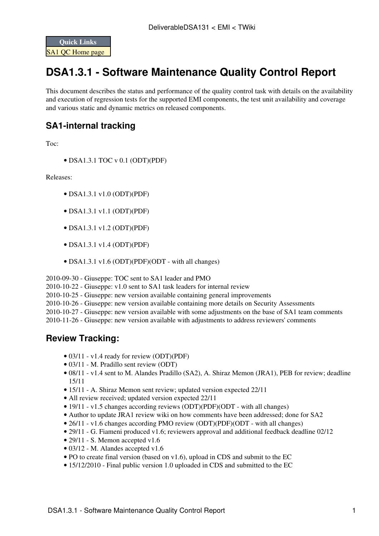

## **DSA1.3.1 - Software Maintenance Quality Control Report**

This document describes the status and performance of the quality control task with details on the availability and execution of regression tests for the supported EMI components, the test unit availability and coverage and various static and dynamic metrics on released components.

## **SA1-internal tracking**

Toc:

• DSA1.3.1 TOC v 0.1 [\(ODT\)](https://twiki.cern.ch/twiki/pub/EMI/DeliverableDSA131/EMI-D3.3.1-Software_Maintenance_Quality_Control_Report-v0.1.odt)[\(PDF\)](https://twiki.cern.ch/twiki/pub/EMI/DeliverableDSA131/EMI-D3.3.1-Software_Maintenance_Quality_Control_Report-v0.1.pdf)

Releases:

- DSA1.3.1 v1.0 [\(ODT\)](https://twiki.cern.ch/twiki/pub/EMI/DeliverableDSA131/EMI-D3.3.1-Software_Maintenance_Quality_Control_Report-v1.0.odt)[\(PDF\)](https://twiki.cern.ch/twiki/pub/EMI/DeliverableDSA131/EMI-D3.3.1-Software_Maintenance_Quality_Control_Report-v1.0.pdf)
- DSA1.3.1 v1.1 [\(ODT\)](https://twiki.cern.ch/twiki/pub/EMI/DeliverableDSA131/EMI-D3.3.1-Software_Maintenance_Quality_Control_Report-v1.1.odt)[\(PDF\)](https://twiki.cern.ch/twiki/pub/EMI/DeliverableDSA131/EMI-D3.3.1-Software_Maintenance_Quality_Control_Report-v1.1.pdf)
- DSA1.3.1 v1.2 [\(ODT\)](https://twiki.cern.ch/twiki/pub/EMI/DeliverableDSA131/EMI-D3.3.1-Software_Maintenance_Quality_Control_Report-v1.2.odt)[\(PDF\)](https://twiki.cern.ch/twiki/pub/EMI/DeliverableDSA131/EMI-D3.3.1-Software_Maintenance_Quality_Control_Report-v1.2.pdf)
- DSA1.3.1 v1.4 [\(ODT\)](https://twiki.cern.ch/twiki/pub/EMI/DeliverableDSA131/EMI-D3.3.1-Software_Maintenance_Quality_Control_Report-v1.4.odt)[\(PDF\)](https://twiki.cern.ch/twiki/pub/EMI/DeliverableDSA131/EMI-D3.3.1-Software_Maintenance_Quality_Control_Report-v1.4.pdf)
- DSA1.3.1 v1.6 [\(ODT\)](https://twiki.cern.ch/twiki/pub/EMI/DeliverableDSA131/EMI-D3.3.1-Software_Maintenance_Quality_Control_Report-v1.6.odt)[\(PDF\)](https://twiki.cern.ch/twiki/pub/EMI/DeliverableDSA131/EMI-D3.3.1-Software_Maintenance_Quality_Control_Report-v1.6.pdf)[\(ODT with all changes\)](https://twiki.cern.ch/twiki/pub/EMI/DeliverableDSA131/EMI-D3.3.1-Software_Maintenance_Quality_Control_Report-v1.6_with_changes.odt)

2010-09-30 - Giuseppe: TOC sent to SA1 leader and PMO

- 2010-10-22 Giuseppe: v1.0 sent to SA1 task leaders for internal review
- 2010-10-25 Giuseppe: new version available containing general improvements
- 2010-10-26 Giuseppe: new version available containing more details on Security Assessments
- 2010-10-27 Giuseppe: new version available with some adjustments on the base of SA1 team comments

2010-11-26 - Giuseppe: new version available with adjustments to address reviewers' comments

## **Review Tracking:**

- 03/11 v1.4 ready for review [\(ODT\)](https://twiki.cern.ch/twiki/pub/EMI/DeliverableDSA131/EMI-D3.3.1-Software_Maintenance_Quality_Control_Report-v1.4.odt)[\(PDF\)](https://twiki.cern.ch/twiki/pub/EMI/DeliverableDSA131/EMI-D3.3.1-Software_Maintenance_Quality_Control_Report-v1.4.pdf)
- 03/11 M. Pradillo sent review [\(ODT\)](https://twiki.cern.ch/twiki/pub/EMI/DeliverableDSA131/EMI-D3.3.1-Software_Maintenance_Quality_Control_Report-v1.4_maria.odt)
- 08/11 v1.4 sent to M. Alandes Pradillo (SA2), A. Shiraz Memon (JRA1), [PEB](https://twiki.cern.ch/twiki/bin/view/EMI/PEB) for review; deadline 15/11
- 15/11 A. Shiraz Memon sent review; updated version expected 22/11
- All review received; updated version expected 22/11
- 19/11 v1.5 changes according reviews [\(ODT\)](https://twiki.cern.ch/twiki/pub/EMI/DeliverableDSA131/EMI-D3.3.1-Software_Maintenance_Quality_Control_Report-v1.5.odt)[\(PDF\)](https://twiki.cern.ch/twiki/pub/EMI/DeliverableDSA131/EMI-D3.3.1-Software_Maintenance_Quality_Control_Report-v1.5.pdf)[\(ODT with all changes\)](https://twiki.cern.ch/twiki/pub/EMI/DeliverableDSA131/EMI-D3.3.1-Software_Maintenance_Quality_Control_Report-v1.5_with_changes.odt)
- Author to update JRA1 review wiki on how comments have been addressed; done for SA2
- 26/11 v1.6 changes according PMO review [\(ODT\)](https://twiki.cern.ch/twiki/pub/EMI/DeliverableDSA131/EMI-D3.3.1-Software_Maintenance_Quality_Control_Report-v1.6.odt)[\(PDF\)](https://twiki.cern.ch/twiki/pub/EMI/DeliverableDSA131/EMI-D3.3.1-Software_Maintenance_Quality_Control_Report-v1.6.pdf)[\(ODT with all changes\)](https://twiki.cern.ch/twiki/pub/EMI/DeliverableDSA131/EMI-D3.3.1-Software_Maintenance_Quality_Control_Report-v1.6_with_changes.odt)
- 29/11 G. Fiameni produced v1.6; reviewers approval and additional feedback deadline 02/12
- 29/11 S. Memon accepted v1.6
- 03/12 M. Alandes accepted v1.6
- PO to create final version (based on v1.6), upload in CDS and submit to the EC
- 15/12/2010 Final public version 1.0 uploaded in CDS and submitted to the EC